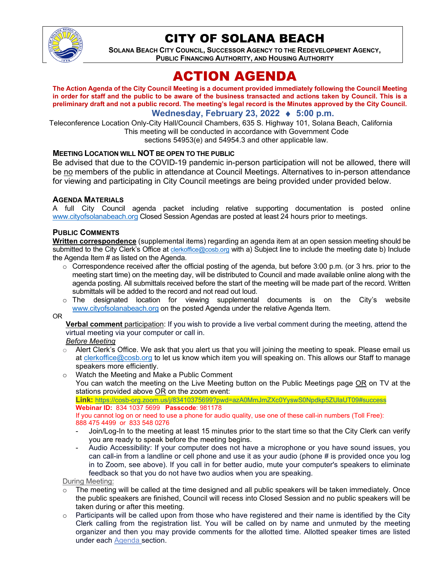

# CITY OF SOLANA BEACH

**SOLANA BEACH CITY COUNCIL, SUCCESSOR AGENCY TO THE REDEVELOPMENT AGENCY, PUBLIC FINANCING AUTHORITY, AND HOUSING AUTHORITY** 

# ACTION AGENDA

**The Action Agenda of the City Council Meeting is a document provided immediately following the Council Meeting in order for staff and the public to be aware of the business transacted and actions taken by Council. This is a preliminary draft and not a public record. The meeting's legal record is the Minutes approved by the City Council.**

# **Wednesday, February 23, 2022** ♦ **5:00 p.m.**

Teleconference Location Only-City Hall/Council Chambers, 635 S. Highway 101, Solana Beach, California This meeting will be conducted in accordance with Government Code sections 54953(e) and 54954.3 and other applicable law.

## **MEETING LOCATION WILL NOT BE OPEN TO THE PUBLIC**

Be advised that due to the COVID-19 pandemic in-person participation will not be allowed, there will be no members of the public in attendance at Council Meetings. Alternatives to in-person attendance for viewing and participating in City Council meetings are being provided under provided below.

#### **AGENDA MATERIALS**

A full City Council agenda packet including relative supporting documentation is posted online [www.cityofsolanabeach.org](https://urldefense.proofpoint.com/v2/url?u=http-3A__www.cityofsolanabeach.org&d=DwQFAg&c=euGZstcaTDllvimEN8b7jXrwqOf-v5A_CdpgnVfiiMM&r=1XAsCUuqwK_tji2t0s1uIQ&m=wny2RVfZJ2tN24LkqZmkUWNpwL_peNtTZUBlTBZiMM4&s=6ATguqxJUOD7VVtloplAbyuyNaVcEh6Fl4q1iw55lCY&e=) Closed Session Agendas are posted at least 24 hours prior to meetings.

#### **PUBLIC COMMENTS**

**Written correspondence** (supplemental items) regarding an agenda item at an open session meeting should be submitted to the City Clerk's Office at *clerkoffice@cosb.org* with a) Subject line to include the meeting date b) Include the Agenda Item # as listed on the Agenda.

- $\circ$  Correspondence received after the official posting of the agenda, but before 3:00 p.m. (or 3 hrs. prior to the meeting start time) on the meeting day, will be distributed to Council and made available online along with the agenda posting. All submittals received before the start of the meeting will be made part of the record. Written submittals will be added to the record and not read out loud.
- $\circ$  The designated location for viewing supplemental documents is on the City's website [www.cityofsolanabeach.org](http://www.cityofsolanabeach.org/) on the posted Agenda under the relative Agenda Item.

OR

**Verbal comment** participation: If you wish to provide a live verbal comment during the meeting, attend the virtual meeting via your computer or call in.

*Before Meeting*

- $\circ$  Alert Clerk's Office. We ask that you alert us that you will joining the meeting to speak. Please email us at [clerkoffice@cosb.org](mailto:clerkoffice@cosb.org) to let us know which item you will speaking on. This allows our Staff to manage speakers more efficiently.
- o Watch the Meeting and Make a Public Comment

You can watch the meeting on the Live Meeting button on the Public Meetings page OR on TV at the stations provided above OR on the zoom event:

**Link:** <https://cosb-org.zoom.us/j/83410375699?pwd=azA0MmJmZXc0YyswS0Npdkp5ZUlaUT09#success> **Webinar ID:** 834 1037 5699 **Passcode**: 981178

If you cannot log on or need to use a phone for audio quality, use one of these call-in numbers (Toll Free): 888 475 4499 or 833 548 0276

- Join/Log-In to the meeting at least 15 minutes prior to the start time so that the City Clerk can verify you are ready to speak before the meeting begins.
- Audio Accessibility: If your computer does not have a microphone or you have sound issues, you can call-in from a landline or cell phone and use it as your audio (phone # is provided once you log in to Zoom, see above). If you call in for better audio, mute your computer's speakers to eliminate feedback so that you do not have two audios when you are speaking.

During Meeting:

- The meeting will be called at the time designed and all public speakers will be taken immediately. Once the public speakers are finished, Council will recess into Closed Session and no public speakers will be taken during or after this meeting.
- $\circ$  Participants will be called upon from those who have registered and their name is identified by the City Clerk calling from the registration list. You will be called on by name and unmuted by the meeting organizer and then you may provide comments for the allotted time. Allotted speaker times are listed under each [Agenda s](https://urldefense.proofpoint.com/v2/url?u=https-3A__www.ci.solana-2Dbeach.ca.us_index.asp-3FSEC-3DF0F1200D-2D21C6-2D4A88-2D8AE1-2D0BC07C1A81A7-26Type-3DB-5FBASIC&d=DwMFaQ&c=euGZstcaTDllvimEN8b7jXrwqOf-v5A_CdpgnVfiiMM&r=1XAsCUuqwK_tji2t0s1uIQ&m=C7WzXfOw2_nkEFMJClT55zZsF4tmIf_7KTn0o1WpYqI&s=3DcsWExM2_nx_xpvFtXslUjphiXd0MDCCF18y_Qy5yU&e=)ection.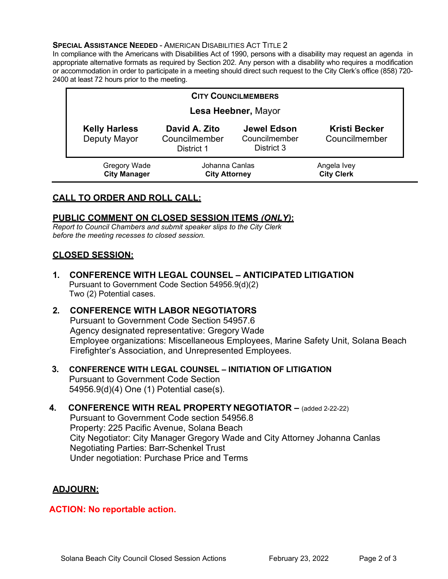#### **SPECIAL ASSISTANCE NEEDED - AMERICAN DISABILITIES ACT TITLE 2**

In compliance with the Americans with Disabilities Act of 1990, persons with a disability may request an agenda in appropriate alternative formats as required by Section 202. Any person with a disability who requires a modification or accommodation in order to participate in a meeting should direct such request to the City Clerk's office (858) 720- 2400 at least 72 hours prior to the meeting.

| <b>CITY COUNCILMEMBERS</b>           |                                              |                                                   |                                       |
|--------------------------------------|----------------------------------------------|---------------------------------------------------|---------------------------------------|
| Lesa Heebner, Mayor                  |                                              |                                                   |                                       |
| <b>Kelly Harless</b><br>Deputy Mayor | David A. Zito<br>Councilmember<br>District 1 | <b>Jewel Edson</b><br>Councilmember<br>District 3 | <b>Kristi Becker</b><br>Councilmember |
| Gregory Wade<br><b>City Manager</b>  | Johanna Canlas<br><b>City Attorney</b>       |                                                   | Angela Ivey<br><b>City Clerk</b>      |

## **CALL TO ORDER AND ROLL CALL:**

## **PUBLIC COMMENT ON CLOSED SESSION ITEMS** *(ONLY)***:**

*Report to Council Chambers and submit speaker slips to the City Clerk before the meeting recesses to closed session.*

## **CLOSED SESSION:**

- **1. CONFERENCE WITH LEGAL COUNSEL – ANTICIPATED LITIGATION** Pursuant to Government Code Section 54956.9(d)(2) Two (2) Potential cases.
- **2. CONFERENCE WITH LABOR NEGOTIATORS**  Pursuant to Government Code Section 54957.6 Agency designated representative: Gregory Wade Employee organizations: Miscellaneous Employees, Marine Safety Unit, Solana Beach Firefighter's Association, and Unrepresented Employees.

## **3. CONFERENCE WITH LEGAL COUNSEL – INITIATION OF LITIGATION** Pursuant to Government Code Section 54956.9(d)(4) One (1) Potential case(s).

## **4. CONFERENCE WITH REAL PROPERTY NEGOTIATOR –** (added 2-22-22) Pursuant to Government Code section 54956.8 Property: 225 Pacific Avenue, Solana Beach City Negotiator: City Manager Gregory Wade and City Attorney Johanna Canlas Negotiating Parties: Barr-Schenkel Trust Under negotiation: Purchase Price and Terms

## **ADJOURN:**

## **ACTION: No reportable action.**